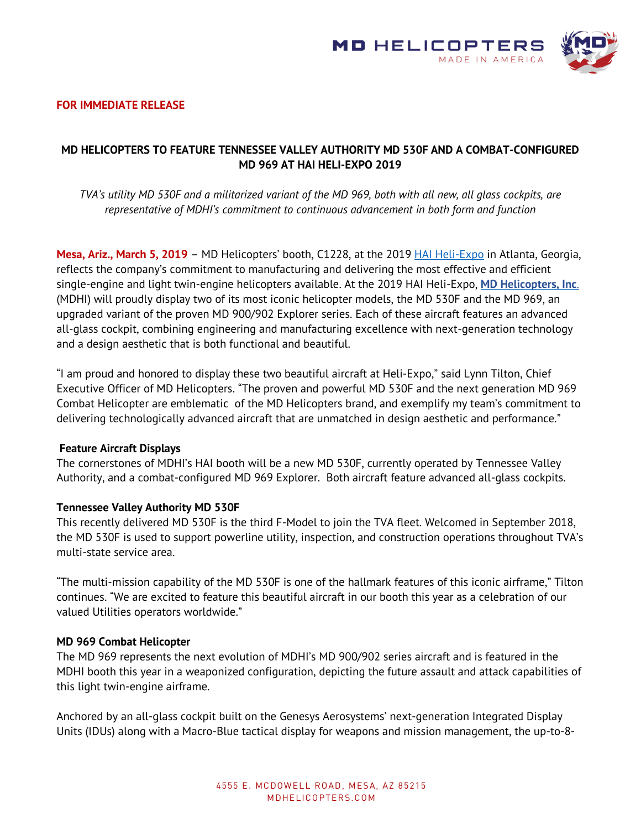

#### **FOR IMMEDIATE RELEASE**

# **MD HELICOPTERS TO FEATURE TENNESSEE VALLEY AUTHORITY MD 530F AND A COMBAT-CONFIGURED MD 969 AT HAI HELI-EXPO 2019**

*TVA's utility MD 530F and a militarized variant of the MD 969, both with all new, all glass cockpits, are representative of MDHI's commitment to continuous advancement in both form and function*

**Mesa, Ariz., March 5, 2019** – MD Helicopters' booth, C1228, at the 2019 [HAI Heli-Expo](http://heliexpo.rotor.org/) in Atlanta, Georgia, reflects the company's commitment to manufacturing and delivering the most effective and efficient single-engine and light twin-engine helicopters available. At the 2019 HAI Heli-Expo, **[MD Helicopters, Inc](http://www.mdhelicopters.com/)**[.](http://www.mdhelicopters.com/) (MDHI) will proudly display two of its most iconic helicopter models, the MD 530F and the MD 969, an upgraded variant of the proven MD 900/902 Explorer series. Each of these aircraft features an advanced all-glass cockpit, combining engineering and manufacturing excellence with next-generation technology and a design aesthetic that is both functional and beautiful.

"I am proud and honored to display these two beautiful aircraft at Heli-Expo," said Lynn Tilton, Chief Executive Officer of MD Helicopters. "The proven and powerful MD 530F and the next generation MD 969 Combat Helicopter are emblematic of the MD Helicopters brand, and exemplify my team's commitment to delivering technologically advanced aircraft that are unmatched in design aesthetic and performance."

#### **Feature Aircraft Displays**

The cornerstones of MDHI's HAI booth will be a new MD 530F, currently operated by Tennessee Valley Authority, and a combat-configured MD 969 Explorer. Both aircraft feature advanced all-glass cockpits.

#### **Tennessee Valley Authority MD 530F**

This recently delivered MD 530F is the third F-Model to join the TVA fleet. Welcomed in September 2018, the MD 530F is used to support powerline utility, inspection, and construction operations throughout TVA's multi-state service area.

"The multi-mission capability of the MD 530F is one of the hallmark features of this iconic airframe," Tilton continues. "We are excited to feature this beautiful aircraft in our booth this year as a celebration of our valued Utilities operators worldwide."

#### **MD 969 Combat Helicopter**

The MD 969 represents the next evolution of MDHI's MD 900/902 series aircraft and is featured in the MDHI booth this year in a weaponized configuration, depicting the future assault and attack capabilities of this light twin-engine airframe.

Anchored by an all-glass cockpit built on the Genesys Aerosystems' next-generation Integrated Display Units (IDUs) along with a Macro-Blue tactical display for weapons and mission management, the up-to-8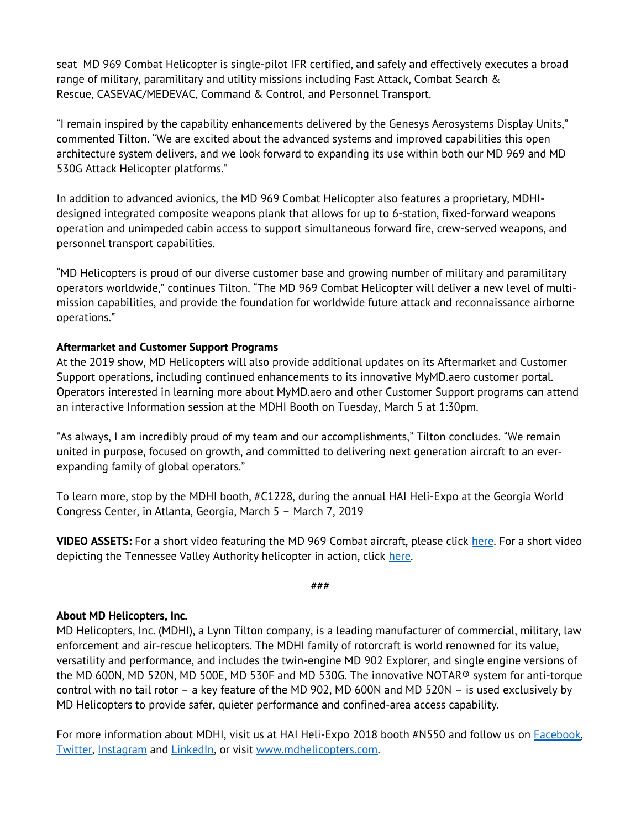seat MD 969 Combat Helicopter is single-pilot IFR certified, and safely and effectively executes a broad range of military, paramilitary and utility missions including Fast Attack, Combat Search & Rescue, CASEVAC/MEDEVAC, Command & Control, and Personnel Transport.

"I remain inspired by the capability enhancements delivered by the Genesys Aerosystems Display Units," commented Tilton. "We are excited about the advanced systems and improved capabilities this open architecture system delivers, and we look forward to expanding its use within both our MD 969 and MD 530G Attack Helicopter platforms."

In addition to advanced avionics, the MD 969 Combat Helicopter also features a proprietary, MDHIdesigned integrated composite weapons plank that allows for up to 6-station, fixed-forward weapons operation and unimpeded cabin access to support simultaneous forward fire, crew-served weapons, and personnel transport capabilities.

"MD Helicopters is proud of our diverse customer base and growing number of military and paramilitary operators worldwide," continues Tilton. "The MD 969 Combat Helicopter will deliver a new level of multimission capabilities, and provide the foundation for worldwide future attack and reconnaissance airborne operations."

## **Aftermarket and Customer Support Programs**

At the 2019 show, MD Helicopters will also provide additional updates on its Aftermarket and Customer Support operations, including continued enhancements to its innovative MyMD.aero customer portal. Operators interested in learning more about MyMD.aero and other Customer Support programs can attend an interactive Information session at the MDHI Booth on Tuesday, March 5 at 1:30pm.

"As always, I am incredibly proud of my team and our accomplishments," Tilton concludes. "We remain united in purpose, focused on growth, and committed to delivering next generation aircraft to an everexpanding family of global operators."

To learn more, stop by the MDHI booth, #C1228, during the annual HAI Heli-Expo at the Georgia World Congress Center, in Atlanta, Georgia, March 5 – March 7, 2019

**VIDEO ASSETS:** For a short video featuring the MD 969 Combat aircraft, please click [here.](https://youtu.be/ESF13ZN4yG4) For a short video depicting the Tennessee Valley Authority helicopter in action, click [here.](https://youtu.be/tlGnUIn8vBQ)

###

### **About MD Helicopters, Inc.**

MD Helicopters, Inc. (MDHI), a Lynn Tilton company, is a leading manufacturer of commercial, military, law enforcement and air-rescue helicopters. The MDHI family of rotorcraft is world renowned for its value, versatility and performance, and includes the twin-engine MD 902 Explorer, and single engine versions of the MD 600N, MD 520N, MD 500E, MD 530F and MD 530G. The innovative NOTAR® system for anti-torque control with no tail rotor – a key feature of the MD 902, MD 600N and MD 520N – is used exclusively by MD Helicopters to provide safer, quieter performance and confined-area access capability.

For more information about MDHI, visit us at HAI Heli-Expo 2018 booth #N550 and follow us on [Facebook,](http://on.fb.me/1NmcZGJ) [Twitter,](http://bit.ly/VT0GJ9) [Instagram](http://bit.ly/1PY297A) and [LinkedIn,](http://bit.ly/MDHILinkedIn) or visit [www.mdhelicopters.com.](http://www.mdhelicopters.com/)